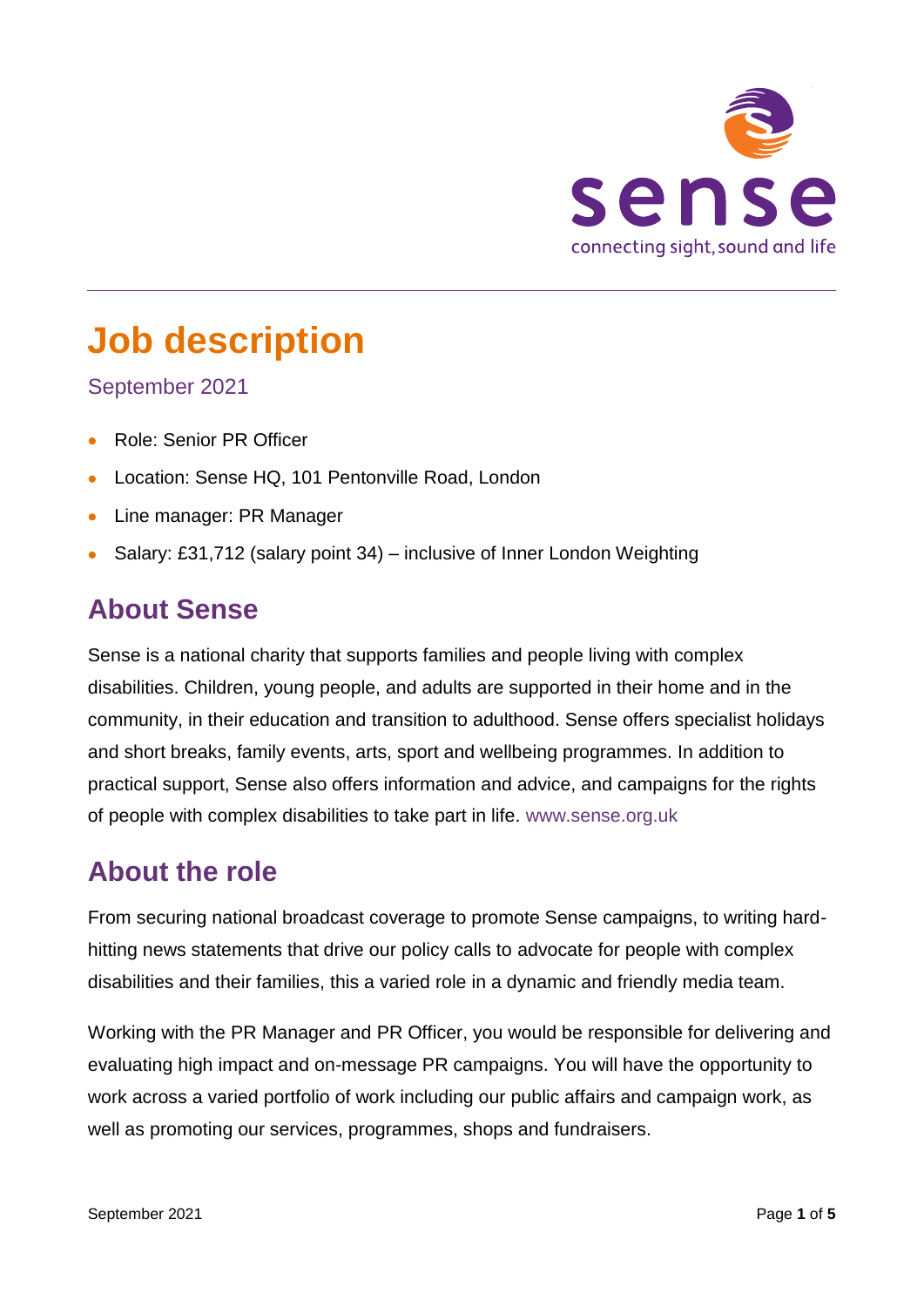

# **Job description**

#### September 2021

- Role: Senior PR Officer
- Location: Sense HQ, 101 Pentonville Road, London
- Line manager: PR Manager
- Salary: £31,712 (salary point 34) inclusive of Inner London Weighting

## **About Sense**

Sense is a national charity that supports families and people living with complex disabilities. Children, young people, and adults are supported in their home and in the community, in their education and transition to adulthood. Sense offers specialist holidays and short breaks, family events, arts, sport and wellbeing programmes. In addition to practical support, Sense also offers information and advice, and campaigns for the rights of people with complex disabilities to take part in life. [www.sense.org.uk](http://www.sense.org.uk/)

### **About the role**

From securing national broadcast coverage to promote Sense campaigns, to writing hardhitting news statements that drive our policy calls to advocate for people with complex disabilities and their families, this a varied role in a dynamic and friendly media team.

Working with the PR Manager and PR Officer, you would be responsible for delivering and evaluating high impact and on-message PR campaigns. You will have the opportunity to work across a varied portfolio of work including our public affairs and campaign work, as well as promoting our services, programmes, shops and fundraisers.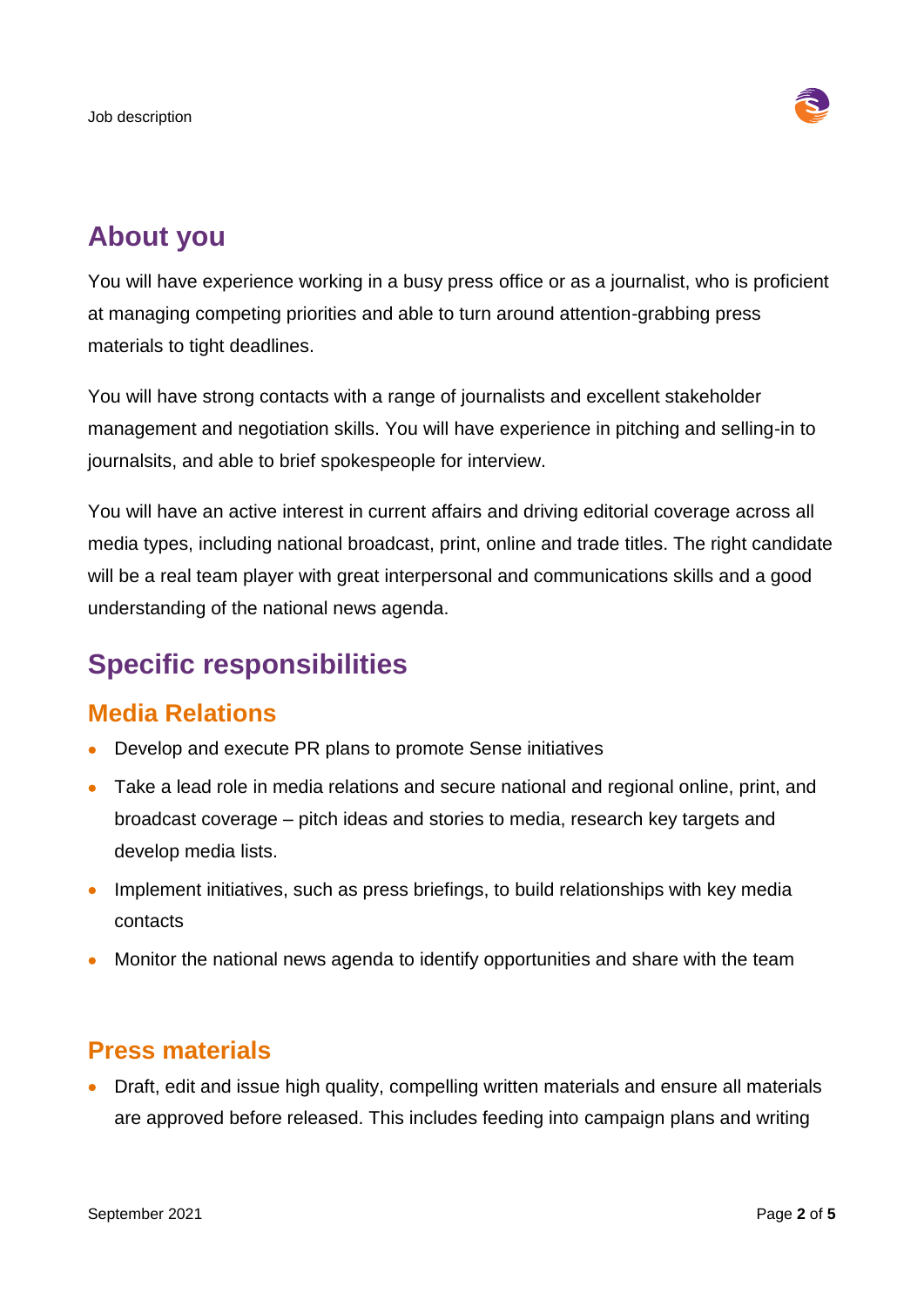

# **About you**

You will have experience working in a busy press office or as a journalist, who is proficient at managing competing priorities and able to turn around attention-grabbing press materials to tight deadlines.

You will have strong contacts with a range of journalists and excellent stakeholder management and negotiation skills. You will have experience in pitching and selling-in to journalsits, and able to brief spokespeople for interview.

You will have an active interest in current affairs and driving editorial coverage across all media types, including national broadcast, print, online and trade titles. The right candidate will be a real team player with great interpersonal and communications skills and a good understanding of the national news agenda.

# **Specific responsibilities**

### **Media Relations**

- Develop and execute PR plans to promote Sense initiatives
- Take a lead role in media relations and secure national and regional online, print, and broadcast coverage – pitch ideas and stories to media, research key targets and develop media lists.
- Implement initiatives, such as press briefings, to build relationships with key media contacts
- Monitor the national news agenda to identify opportunities and share with the team

### **Press materials**

 Draft, edit and issue high quality, compelling written materials and ensure all materials are approved before released. This includes feeding into campaign plans and writing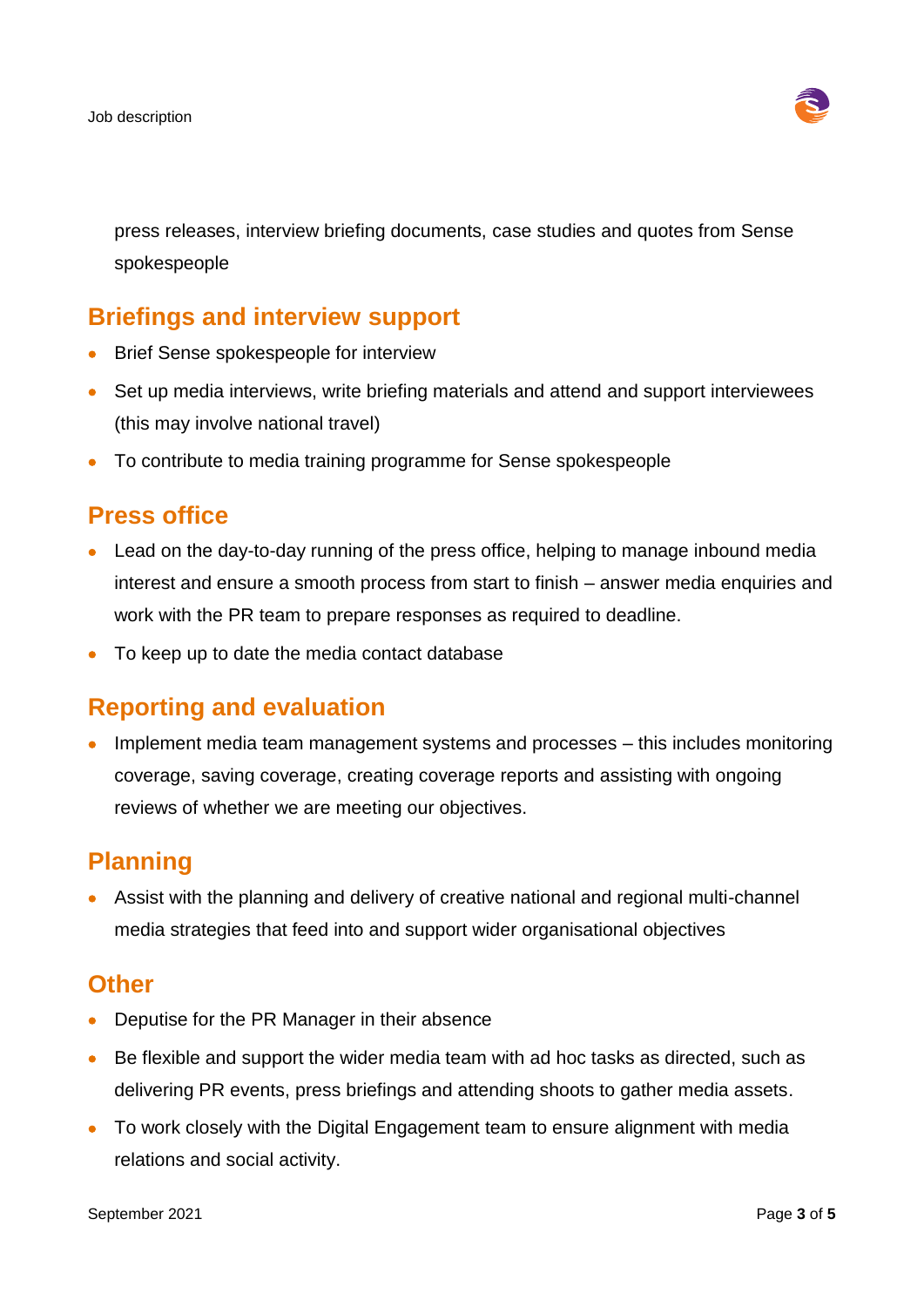

press releases, interview briefing documents, case studies and quotes from Sense spokespeople

### **Briefings and interview support**

- Brief Sense spokespeople for interview
- Set up media interviews, write briefing materials and attend and support interviewees (this may involve national travel)
- To contribute to media training programme for Sense spokespeople

### **Press office**

- Lead on the day-to-day running of the press office, helping to manage inbound media interest and ensure a smooth process from start to finish – answer media enquiries and work with the PR team to prepare responses as required to deadline.
- To keep up to date the media contact database

### **Reporting and evaluation**

• Implement media team management systems and processes – this includes monitoring coverage, saving coverage, creating coverage reports and assisting with ongoing reviews of whether we are meeting our objectives.

### **Planning**

 Assist with the planning and delivery of creative national and regional multi-channel media strategies that feed into and support wider organisational objectives

#### **Other**

- Deputise for the PR Manager in their absence
- Be flexible and support the wider media team with ad hoc tasks as directed, such as delivering PR events, press briefings and attending shoots to gather media assets.
- To work closely with the Digital Engagement team to ensure alignment with media relations and social activity.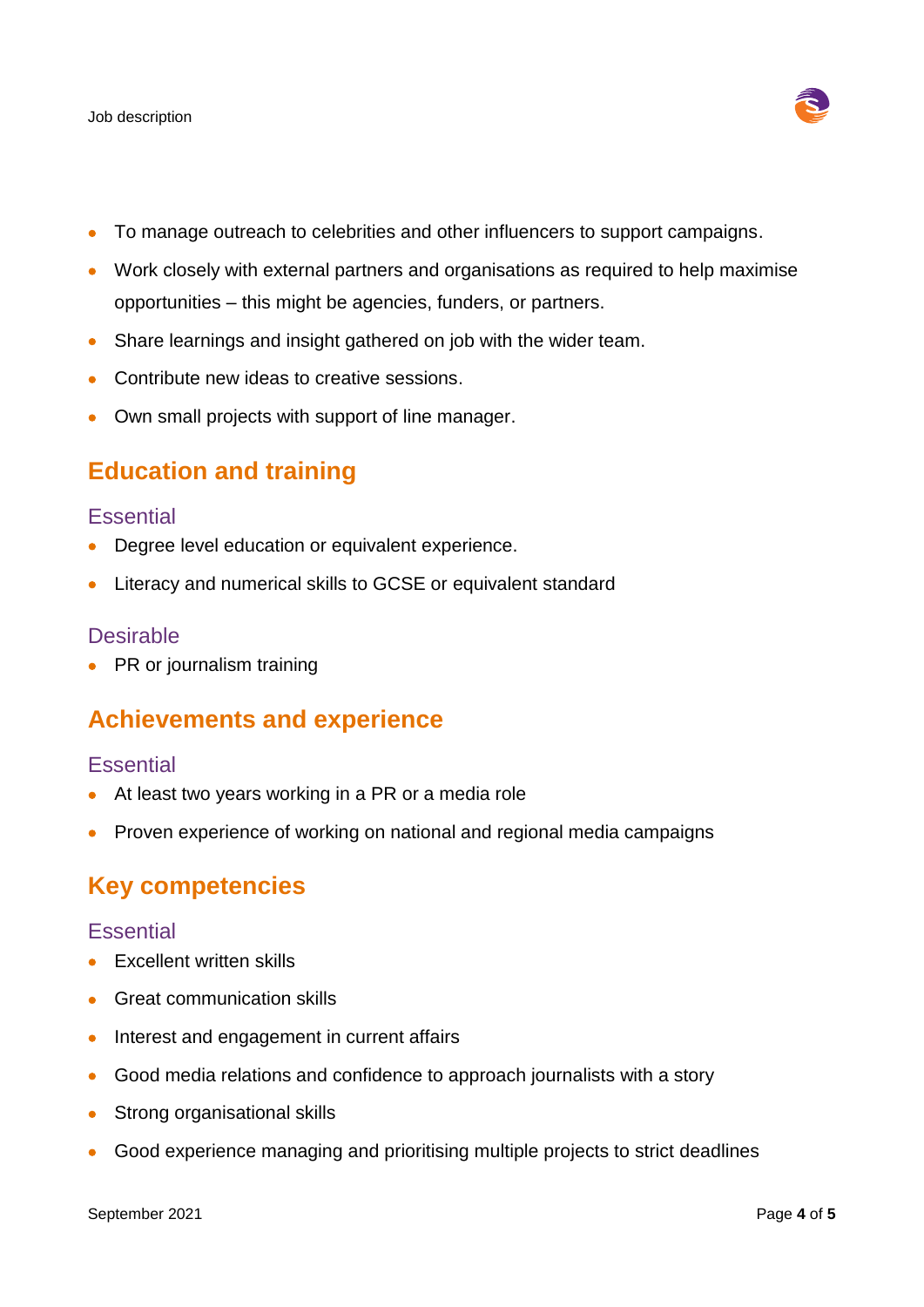

- To manage outreach to celebrities and other influencers to support campaigns.
- Work closely with external partners and organisations as required to help maximise opportunities – this might be agencies, funders, or partners.
- Share learnings and insight gathered on job with the wider team.
- Contribute new ideas to creative sessions.
- Own small projects with support of line manager.

#### **Education and training**

#### **Essential**

- Degree level education or equivalent experience.
- Literacy and numerical skills to GCSE or equivalent standard

#### **Desirable**

• PR or journalism training

#### **Achievements and experience**

#### **Essential**

- At least two years working in a PR or a media role
- Proven experience of working on national and regional media campaigns

#### **Key competencies**

#### **Essential**

- Excellent written skills
- Great communication skills
- Interest and engagement in current affairs
- Good media relations and confidence to approach journalists with a story
- Strong organisational skills
- Good experience managing and prioritising multiple projects to strict deadlines